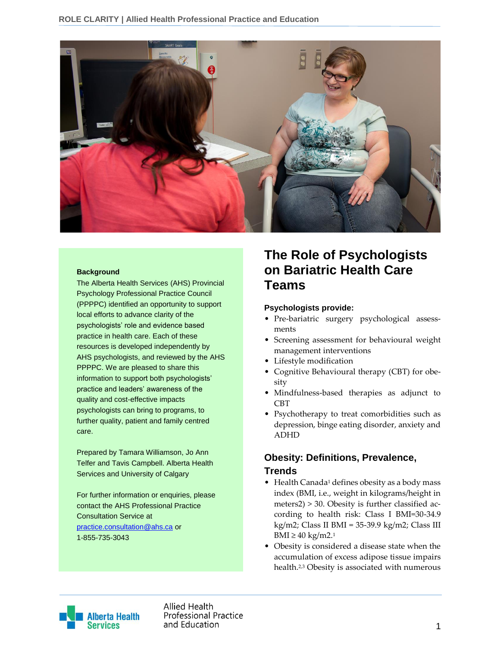

#### **Background**

The Alberta Health Services (AHS) Provincial Psychology Professional Practice Council (PPPPC) identified an opportunity to support local efforts to advance clarity of the psychologists' role and evidence based practice in health care. Each of these resources is developed independently by AHS psychologists, and reviewed by the AHS PPPPC. We are pleased to share this information to support both psychologists' practice and leaders' awareness of the quality and cost-effective impacts psychologists can bring to programs, to further quality, patient and family centred care.

Prepared by Tamara Williamson, Jo Ann Telfer and Tavis Campbell. Alberta Health Services and University of Calgary

For further information or enquiries, please contact the AHS Professional Practice Consultation Service at [practice.consultation@ahs.ca](mailto:practice.consultation@ahs.ca) or 1-855-735-3043

# **The Role of Psychologists on Bariatric Health Care Teams**

#### **Psychologists provide:**

- Pre-bariatric surgery psychological assessments
- Screening assessment for behavioural weight management interventions
- Lifestyle modification
- Cognitive Behavioural therapy (CBT) for obesity
- Mindfulness-based therapies as adjunct to CBT
- Psychotherapy to treat comorbidities such as depression, binge eating disorder, anxiety and ADHD

# **Obesity: Definitions, Prevalence, Trends**

- Health Canada<sup>1</sup> defines obesity as a body mass index (BMI, i.e., weight in kilograms/height in meters2) > 30. Obesity is further classified according to health risk: Class I BMI=30-34.9 kg/m2; Class II BMI = 35-39.9 kg/m2; Class III BMI ≥ 40 kg/m2.<sup>1</sup>
- Obesity is considered a disease state when the accumulation of excess adipose tissue impairs health.2,3 Obesity is associated with numerous



Allied Health **Professional Practice** and Education and Education and Education and Education and Education and Education and Education and Education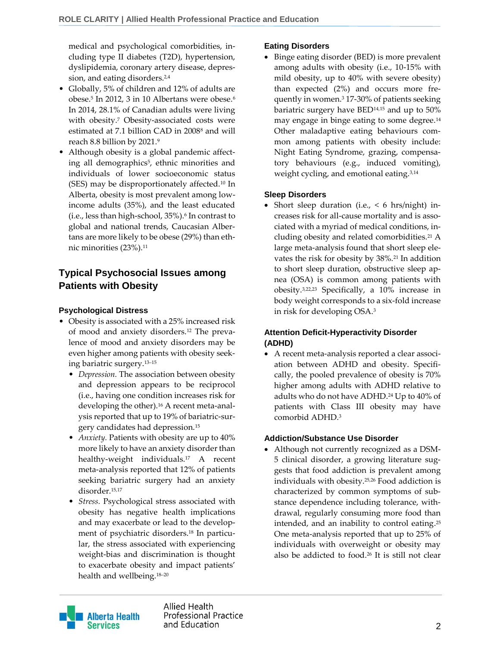medical and psychological comorbidities, including type II diabetes (T2D), hypertension, dyslipidemia, coronary artery disease, depression, and eating disorders.<sup>2,4</sup>

- Globally, 5% of children and 12% of adults are obese.<sup>5</sup> In 2012, 3 in 10 Albertans were obese.<sup>6</sup> In 2014, 28.1% of Canadian adults were living with obesity.<sup>7</sup> Obesity-associated costs were estimated at 7.1 billion CAD in 2008<sup>8</sup> and will reach 8.8 billion by 2021.<sup>9</sup>
- Although obesity is a global pandemic affecting all demographics<sup>5</sup>, ethnic minorities and individuals of lower socioeconomic status (SES) may be disproportionately affected.<sup>10</sup> In Alberta, obesity is most prevalent among lowincome adults (35%), and the least educated (i.e., less than high-school, 35%).<sup>6</sup> In contrast to global and national trends, Caucasian Albertans are more likely to be obese (29%) than ethnic minorities (23%).<sup>11</sup>

# **Typical Psychosocial Issues among Patients with Obesity**

#### **Psychological Distress**

- Obesity is associated with a 25% increased risk of mood and anxiety disorders.<sup>12</sup> The prevalence of mood and anxiety disorders may be even higher among patients with obesity seeking bariatric surgery.13–<sup>15</sup>
	- *Depression.* The association between obesity and depression appears to be reciprocol (i.e., having one condition increases risk for developing the other).<sup>16</sup> A recent meta-analysis reported that up to 19% of bariatric-surgery candidates had depression.<sup>15</sup>
	- *Anxiety.* Patients with obesity are up to 40% more likely to have an anxiety disorder than healthy-weight individuals.<sup>17</sup> A recent meta-analysis reported that 12% of patients seeking bariatric surgery had an anxiety disorder.15,17
	- *Stress.* Psychological stress associated with obesity has negative health implications and may exacerbate or lead to the development of psychiatric disorders.<sup>18</sup> In particular, the stress associated with experiencing weight-bias and discrimination is thought to exacerbate obesity and impact patients' health and wellbeing.18–<sup>20</sup>

### **Eating Disorders**

 Binge eating disorder (BED) is more prevalent among adults with obesity (i.e., 10-15% with mild obesity, up to 40% with severe obesity) than expected (2%) and occurs more frequently in women.<sup>3</sup> 17-30% of patients seeking bariatric surgery have BED14,15 and up to 50% may engage in binge eating to some degree.<sup>14</sup> Other maladaptive eating behaviours common among patients with obesity include: Night Eating Syndrome, grazing, compensatory behaviours (e.g., induced vomiting), weight cycling, and emotional eating.<sup>3,14</sup>

### **Sleep Disorders**

Short sleep duration (i.e.,  $< 6$  hrs/night) increases risk for all-cause mortality and is associated with a myriad of medical conditions, including obesity and related comorbidities.<sup>21</sup> A large meta-analysis found that short sleep elevates the risk for obesity by 38%.<sup>21</sup> In addition to short sleep duration, obstructive sleep apnea (OSA) is common among patients with obesity.3,22,23 Specifically, a 10% increase in body weight corresponds to a six-fold increase in risk for developing OSA.<sup>3</sup>

## **Attention Deficit-Hyperactivity Disorder (ADHD)**

 A recent meta-analysis reported a clear association between ADHD and obesity. Specifically, the pooled prevalence of obesity is 70% higher among adults with ADHD relative to adults who do not have ADHD.<sup>24</sup> Up to 40% of patients with Class III obesity may have comorbid ADHD.<sup>3</sup>

### **Addiction/Substance Use Disorder**

 Although not currently recognized as a DSM-5 clinical disorder, a growing literature suggests that food addiction is prevalent among individuals with obesity.25,26 Food addiction is characterized by common symptoms of substance dependence including tolerance, withdrawal, regularly consuming more food than intended, and an inability to control eating. 25 One meta-analysis reported that up to 25% of individuals with overweight or obesity may also be addicted to food.<sup>26</sup> It is still not clear



Allied Health **Professional Practice** 2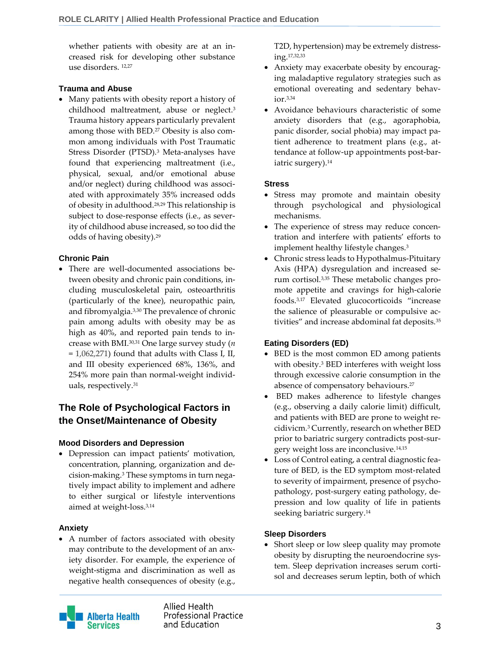whether patients with obesity are at an increased risk for developing other substance use disorders. 12,27

#### **Trauma and Abuse**

 Many patients with obesity report a history of childhood maltreatment, abuse or neglect. 3 Trauma history appears particularly prevalent among those with BED.<sup>27</sup> Obesity is also common among individuals with Post Traumatic Stress Disorder (PTSD).<sup>3</sup> Meta-analyses have found that experiencing maltreatment (i.e., physical, sexual, and/or emotional abuse and/or neglect) during childhood was associated with approximately 35% increased odds of obesity in adulthood.28,29 This relationship is subject to dose-response effects (i.e., as severity of childhood abuse increased, so too did the odds of having obesity).<sup>29</sup>

#### **Chronic Pain**

 There are well-documented associations between obesity and chronic pain conditions, including musculoskeletal pain, osteoarthritis (particularly of the knee), neuropathic pain, and fibromyalgia.3,30 The prevalence of chronic pain among adults with obesity may be as high as 40%, and reported pain tends to increase with BMI.30,31 One large survey study (*n*  = 1,062,271) found that adults with Class I, II, and III obesity experienced 68%, 136%, and 254% more pain than normal-weight individuals, respectively.<sup>31</sup>

# **The Role of Psychological Factors in the Onset/Maintenance of Obesity**

### **Mood Disorders and Depression**

 Depression can impact patients' motivation, concentration, planning, organization and decision-making.<sup>3</sup> These symptoms in turn negatively impact ability to implement and adhere to either surgical or lifestyle interventions aimed at weight-loss.3,14

#### **Anxiety**

 A number of factors associated with obesity may contribute to the development of an anxiety disorder. For example, the experience of weight-stigma and discrimination as well as negative health consequences of obesity (e.g.,

**Alberta Health Services** 

Allied Health **Professional Practice** and Education 3

T2D, hypertension) may be extremely distressing.17,32,33

- Anxiety may exacerbate obesity by encouraging maladaptive regulatory strategies such as emotional overeating and sedentary behavior.3,34
- Avoidance behaviours characteristic of some anxiety disorders that (e.g., agoraphobia, panic disorder, social phobia) may impact patient adherence to treatment plans (e.g., attendance at follow-up appointments post-bariatric surgery). 14

#### **Stress**

- Stress may promote and maintain obesity through psychological and physiological mechanisms.
- The experience of stress may reduce concentration and interfere with patients' efforts to implement healthy lifestyle changes.<sup>3</sup>
- Chronic stress leads to Hypothalmus-Pituitary Axis (HPA) dysregulation and increased serum cortisol.3,35 These metabolic changes promote appetite and cravings for high-calorie foods.3,17 Elevated glucocorticoids "increase the salience of pleasurable or compulsive activities" and increase abdominal fat deposits.<sup>35</sup>

#### **Eating Disorders (ED)**

- BED is the most common ED among patients with obesity.<sup>3</sup> BED interferes with weight loss through excessive calorie consumption in the absence of compensatory behaviours.<sup>27</sup>
- BED makes adherence to lifestyle changes (e.g., observing a daily calorie limit) difficult, and patients with BED are prone to weight recidivicm.<sup>3</sup> Currently, research on whether BED prior to bariatric surgery contradicts post-surgery weight loss are inconclusive.14,15
- Loss of Control eating, a central diagnostic feature of BED, is the ED symptom most-related to severity of impairment, presence of psychopathology, post-surgery eating pathology, depression and low quality of life in patients seeking bariatric surgery.<sup>14</sup>

### **Sleep Disorders**

• Short sleep or low sleep quality may promote obesity by disrupting the neuroendocrine system. Sleep deprivation increases serum cortisol and decreases serum leptin, both of which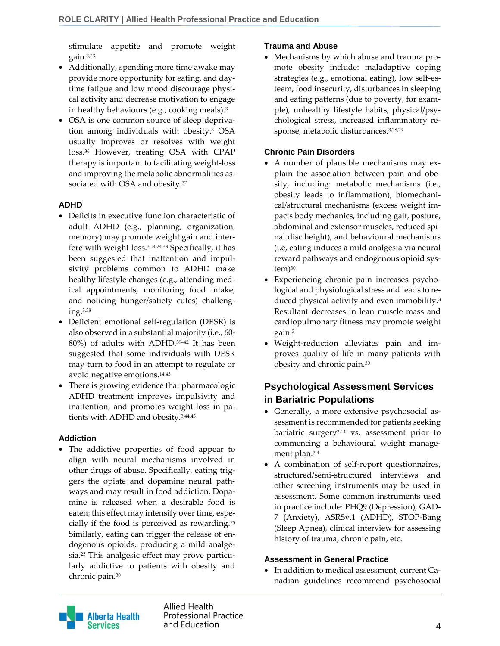stimulate appetite and promote weight gain.3,23

- Additionally, spending more time awake may provide more opportunity for eating, and daytime fatigue and low mood discourage physical activity and decrease motivation to engage in healthy behaviours (e.g., cooking meals).<sup>3</sup>
- OSA is one common source of sleep deprivation among individuals with obesity. <sup>3</sup> OSA usually improves or resolves with weight loss. <sup>36</sup> However, treating OSA with CPAP therapy is important to facilitating weight-loss and improving the metabolic abnormalities associated with OSA and obesity.<sup>37</sup>

#### **ADHD**

- Deficits in executive function characteristic of adult ADHD (e.g., planning, organization, memory) may promote weight gain and interfere with weight loss.3,14,24,38 Specifically, it has been suggested that inattention and impulsivity problems common to ADHD make healthy lifestyle changes (e.g., attending medical appointments, monitoring food intake, and noticing hunger/satiety cutes) challenging.3,38
- Deficient emotional self-regulation (DESR) is also observed in a substantial majority (i.e., 60- 80%) of adults with ADHD.39–<sup>42</sup> It has been suggested that some individuals with DESR may turn to food in an attempt to regulate or avoid negative emotions.14,43
- There is growing evidence that pharmacologic ADHD treatment improves impulsivity and inattention, and promotes weight-loss in patients with ADHD and obesity.3,44,45

### **Addiction**

 The addictive properties of food appear to align with neural mechanisms involved in other drugs of abuse. Specifically, eating triggers the opiate and dopamine neural pathways and may result in food addiction. Dopamine is released when a desirable food is eaten; this effect may intensify over time, especially if the food is perceived as rewarding.<sup>25</sup> Similarly, eating can trigger the release of endogenous opioids, producing a mild analgesia.<sup>25</sup> This analgesic effect may prove particularly addictive to patients with obesity and chronic pain.<sup>30</sup>

#### **Trauma and Abuse**

 Mechanisms by which abuse and trauma promote obesity include: maladaptive coping strategies (e.g., emotional eating), low self-esteem, food insecurity, disturbances in sleeping and eating patterns (due to poverty, for example), unhealthy lifestyle habits, physical/psychological stress, increased inflammatory response, metabolic disturbances.3,28,29

#### **Chronic Pain Disorders**

- A number of plausible mechanisms may explain the association between pain and obesity, including: metabolic mechanisms (i.e., obesity leads to inflammation), biomechanical/structural mechanisms (excess weight impacts body mechanics, including gait, posture, abdominal and extensor muscles, reduced spinal disc height), and behavioural mechanisms (i.e, eating induces a mild analgesia via neural reward pathways and endogenous opioid sys $tem)$ <sup>30</sup>
- Experiencing chronic pain increases psychological and physiological stress and leads to reduced physical activity and even immobility. 3 Resultant decreases in lean muscle mass and cardiopulmonary fitness may promote weight gain.<sup>3</sup>
- Weight-reduction alleviates pain and improves quality of life in many patients with obesity and chronic pain.<sup>30</sup>

# **Psychological Assessment Services in Bariatric Populations**

- Generally, a more extensive psychosocial assessment is recommended for patients seeking bariatric surgery2,14 vs. assessment prior to commencing a behavioural weight management plan.3,4
- A combination of self-report questionnaires, structured/semi-structured interviews and other screening instruments may be used in assessment. Some common instruments used in practice include: PHQ9 (Depression), GAD-7 (Anxiety), ASRSv.1 (ADHD), STOP-Bang (Sleep Apnea), clinical interview for assessing history of trauma, chronic pain, etc.

#### **Assessment in General Practice**

 In addition to medical assessment, current Canadian guidelines recommend psychosocial



Allied Health **Professional Practice** and Education and Education and Education and Education and Education and Education and Education and A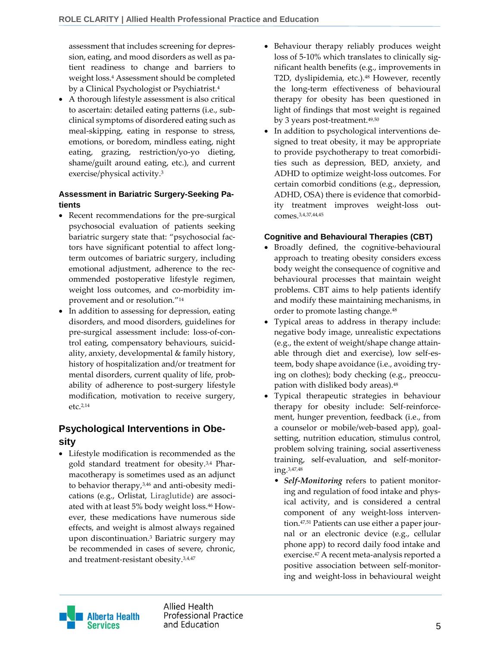assessment that includes screening for depression, eating, and mood disorders as well as patient readiness to change and barriers to weight loss.<sup>4</sup> Assessment should be completed by a Clinical Psychologist or Psychiatrist.<sup>4</sup>

 A thorough lifestyle assessment is also critical to ascertain: detailed eating patterns (i.e., subclinical symptoms of disordered eating such as meal-skipping, eating in response to stress, emotions, or boredom, mindless eating, night eating, grazing, restriction/yo-yo dieting, shame/guilt around eating, etc.), and current exercise/physical activity.<sup>3</sup>

### **Assessment in Bariatric Surgery-Seeking Patients**

- Recent recommendations for the pre-surgical psychosocial evaluation of patients seeking bariatric surgery state that: "psychosocial factors have significant potential to affect longterm outcomes of bariatric surgery, including emotional adjustment, adherence to the recommended postoperative lifestyle regimen, weight loss outcomes, and co-morbidity improvement and or resolution." 14
- In addition to assessing for depression, eating disorders, and mood disorders, guidelines for pre-surgical assessment include: loss-of-control eating, compensatory behaviours, suicidality, anxiety, developmental & family history, history of hospitalization and/or treatment for mental disorders, current quality of life, probability of adherence to post-surgery lifestyle modification, motivation to receive surgery, etc.2,14

# **Psychological Interventions in Obesity**

 Lifestyle modification is recommended as the gold standard treatment for obesity.3,4 Pharmacotherapy is sometimes used as an adjunct to behavior therapy,3,46 and anti-obesity medications (e.g., Orlistat, Liraglutide) are associated with at least 5% body weight loss. <sup>46</sup> However, these medications have numerous side effects, and weight is almost always regained upon discontinuation. <sup>3</sup> Bariatric surgery may be recommended in cases of severe, chronic, and treatment-resistant obesity.3,4,47

- Behaviour therapy reliably produces weight loss of 5-10% which translates to clinically significant health benefits (e.g., improvements in T2D, dyslipidemia, etc.).<sup>48</sup> However, recently the long-term effectiveness of behavioural therapy for obesity has been questioned in light of findings that most weight is regained by 3 years post-treatment.<sup>49,50</sup>
- In addition to psychological interventions designed to treat obesity, it may be appropriate to provide psychotherapy to treat comorbidities such as depression, BED, anxiety, and ADHD to optimize weight-loss outcomes. For certain comorbid conditions (e.g., depression, ADHD, OSA) there is evidence that comorbidity treatment improves weight-loss outcomes.3,4,37,44,45

### **Cognitive and Behavioural Therapies (CBT)**

- Broadly defined, the cognitive-behavioural approach to treating obesity considers excess body weight the consequence of cognitive and behavioural processes that maintain weight problems. CBT aims to help patients identify and modify these maintaining mechanisms, in order to promote lasting change.<sup>48</sup>
- Typical areas to address in therapy include: negative body image, unrealistic expectations (e.g., the extent of weight/shape change attainable through diet and exercise), low self-esteem, body shape avoidance (i.e., avoiding trying on clothes); body checking (e.g., preoccupation with disliked body areas). 48
- Typical therapeutic strategies in behaviour therapy for obesity include: Self-reinforcement, hunger prevention, feedback (i.e., from a counselor or mobile/web-based app), goalsetting, nutrition education, stimulus control, problem solving training, social assertiveness training, self-evaluation, and self-monitoring.3,47,48
	- *Self-Monitoring* refers to patient monitoring and regulation of food intake and physical activity, and is considered a central component of any weight-loss intervention. 47,51 Patients can use either a paper journal or an electronic device (e.g., cellular phone app) to record daily food intake and exercise.<sup>47</sup> A recent meta-analysis reported a positive association between self-monitoring and weight-loss in behavioural weight



Allied Health **Professional Practice** and Education 5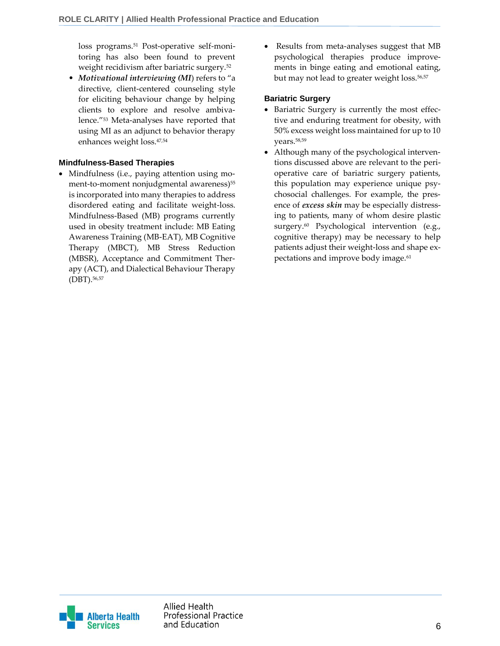loss programs.<sup>51</sup> Post-operative self-monitoring has also been found to prevent weight recidivism after bariatric surgery.<sup>52</sup>

• *Motivational interviewing (MI*) refers to "a directive, client-centered counseling style for eliciting behaviour change by helping clients to explore and resolve ambivalence."<sup>53</sup> Meta-analyses have reported that using MI as an adjunct to behavior therapy enhances weight loss.47,54

#### **Mindfulness-Based Therapies**

• Mindfulness (i.e., paying attention using moment-to-moment nonjudgmental awareness)<sup>55</sup> is incorporated into many therapies to address disordered eating and facilitate weight-loss. Mindfulness-Based (MB) programs currently used in obesity treatment include: MB Eating Awareness Training (MB-EAT), MB Cognitive Therapy (MBCT), MB Stress Reduction (MBSR), Acceptance and Commitment Therapy (ACT), and Dialectical Behaviour Therapy (DBT).56,57

 Results from meta-analyses suggest that MB psychological therapies produce improvements in binge eating and emotional eating, but may not lead to greater weight loss.<sup>56,57</sup>

#### **Bariatric Surgery**

- Bariatric Surgery is currently the most effective and enduring treatment for obesity, with 50% excess weight loss maintained for up to 10 years.58,59
- Although many of the psychological interventions discussed above are relevant to the perioperative care of bariatric surgery patients, this population may experience unique psychosocial challenges. For example, the presence of *excess skin* may be especially distressing to patients, many of whom desire plastic surgery.<sup>60</sup> Psychological intervention (e.g., cognitive therapy) may be necessary to help patients adjust their weight-loss and shape expectations and improve body image.<sup>61</sup>

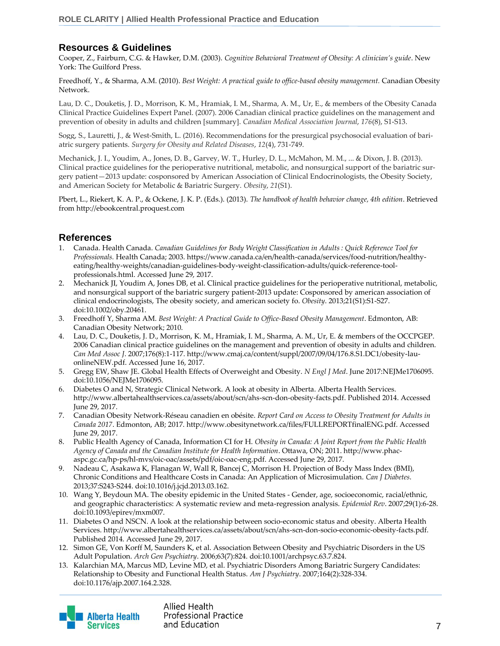# **Resources & Guidelines**

Cooper, Z., Fairburn, C.G. & Hawker, D.M. (2003). *Cognitive Behavioral Treatment of Obesity: A clinician's guide*. New York: The Guilford Press.

Freedhoff, Y., & Sharma, A.M. (2010). *Best Weight: A practical guide to office-based obesity management.* Canadian Obesity Network.

Lau, D. C., Douketis, J. D., Morrison, K. M., Hramiak, I. M., Sharma, A. M., Ur, E., & members of the Obesity Canada Clinical Practice Guidelines Expert Panel. (2007). 2006 Canadian clinical practice guidelines on the management and prevention of obesity in adults and children [summary]. *Canadian Medical Association Journal*, *176*(8), S1-S13.

Sogg, S., Lauretti, J., & West-Smith, L. (2016). Recommendations for the presurgical psychosocial evaluation of bariatric surgery patients. *Surgery for Obesity and Related Diseases*, *12*(4), 731-749.

Mechanick, J. I., Youdim, A., Jones, D. B., Garvey, W. T., Hurley, D. L., McMahon, M. M., ... & Dixon, J. B. (2013). Clinical practice guidelines for the perioperative nutritional, metabolic, and nonsurgical support of the bariatric surgery patient—2013 update: cosponsored by American Association of Clinical Endocrinologists, the Obesity Society, and American Society for Metabolic & Bariatric Surgery. *Obesity*, *21*(S1).

Pbert, L., Riekert, K. A. P., & Ockene, J. K. P. (Eds.). (2013). *The handbook of health behavior change, 4th edition*. Retrieved from http://ebookcentral.proquest.com

## **References**

- 1. Canada. Health Canada. Canadian Guidelines for Body Weight Classification in Adults : Quick Reference Tool for *Professionals.* Health Canada; 2003. https://www.canada.ca/en/health-canada/services/food-nutrition/healthyeating/healthy-weights/canadian-guidelines-body-weight-classification-adults/quick-reference-toolprofessionals.html. Accessed June 29, 2017.
- 2. Mechanick JI, Youdim A, Jones DB, et al. Clinical practice guidelines for the perioperative nutritional, metabolic, and nonsurgical support of the bariatric surgery patient-2013 update: Cosponsored by american association of clinical endocrinologists, The obesity society, and american society fo. *Obesity*. 2013;21(S1):S1-S27. doi:10.1002/oby.20461.
- 3. Freedhoff Y, Sharma AM. *Best Weight: A Practical Guide to Office-Based Obesity Management*. Edmonton, AB: Canadian Obesity Network; 2010.
- 4. Lau, D. C., Douketis, J. D., Morrison, K. M., Hramiak, I. M., Sharma, A. M., Ur, E. & members of the OCCPGEP. 2006 Canadian clinical practice guidelines on the management and prevention of obesity in adults and children. *Can Med Assoc J*. 2007;176(8):1-117. http://www.cmaj.ca/content/suppl/2007/09/04/176.8.S1.DC1/obesity-lauonlineNEW.pdf. Accessed June 16, 2017.
- 5. Gregg EW, Shaw JE. Global Health Effects of Overweight and Obesity. *N Engl J Med*. June 2017:NEJMe1706095. doi:10.1056/NEJMe1706095.
- 6. Diabetes O and N, Strategic Clinical Network. A look at obesity in Alberta. Alberta Health Services. http://www.albertahealthservices.ca/assets/about/scn/ahs-scn-don-obesity-facts.pdf. Published 2014. Accessed June 29, 2017.
- 7. Canadian Obesity Network-Réseau canadien en obésite. *Report Card on Access to Obesity Treatment for Adults in Canada 2017*. Edmonton, AB; 2017. http://www.obesitynetwork.ca/files/FULLREPORTfinalENG.pdf. Accessed June 29, 2017.
- 8. Public Health Agency of Canada, Information CI for H. *Obesity in Canada: A Joint Report from the Public Health Agency of Canada and the Canadian Institute for Health Information*. Ottawa, ON; 2011. http://www.phacaspc.gc.ca/hp-ps/hl-mvs/oic-oac/assets/pdf/oic-oac-eng.pdf. Accessed June 29, 2017.
- 9. Nadeau C, Asakawa K, Flanagan W, Wall R, Bancej C, Morrison H. Projection of Body Mass Index (BMI), Chronic Conditions and Healthcare Costs in Canada: An Application of Microsimulation. *Can J Diabetes*. 2013;37:S243-S244. doi:10.1016/j.jcjd.2013.03.162.
- 10. Wang Y, Beydoun MA. The obesity epidemic in the United States Gender, age, socioeconomic, racial/ethnic, and geographic characteristics: A systematic review and meta-regression analysis. *Epidemiol Rev*. 2007;29(1):6-28. doi:10.1093/epirev/mxm007.
- 11. Diabetes O and NSCN. A look at the relationship between socio-economic status and obesity. Alberta Health Services. http://www.albertahealthservices.ca/assets/about/scn/ahs-scn-don-socio-economic-obesity-facts.pdf. Published 2014. Accessed June 29, 2017.
- 12. Simon GE, Von Korff M, Saunders K, et al. Association Between Obesity and Psychiatric Disorders in the US Adult Population. *Arch Gen Psychiatry*. 2006;63(7):824. doi:10.1001/archpsyc.63.7.824.
- 13. Kalarchian MA, Marcus MD, Levine MD, et al. Psychiatric Disorders Among Bariatric Surgery Candidates: Relationship to Obesity and Functional Health Status. *Am J Psychiatry*. 2007;164(2):328-334. doi:10.1176/ajp.2007.164.2.328.

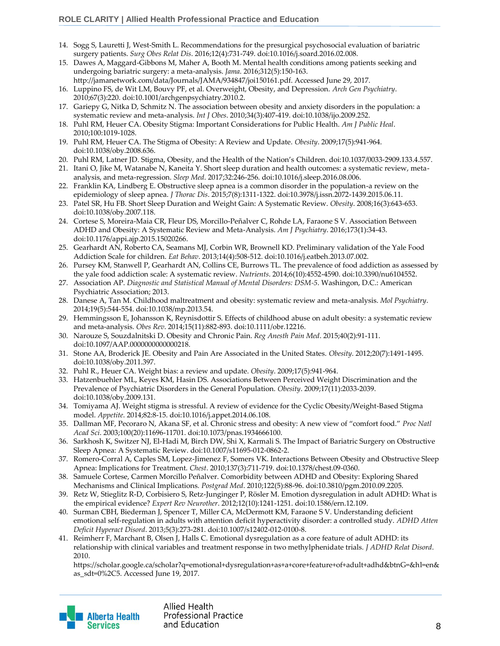- 14. Sogg S, Lauretti J, West-Smith L. Recommendations for the presurgical psychosocial evaluation of bariatric surgery patients. *Surg Obes Relat Dis*. 2016;12(4):731-749. doi:10.1016/j.soard.2016.02.008.
- 15. Dawes A, Maggard-Gibbons M, Maher A, Booth M. Mental health conditions among patients seeking and undergoing bariatric surgery: a meta-analysis. *Jama*. 2016;312(5):150-163.
- http://jamanetwork.com/data/Journals/JAMA/934847/joi150161.pdf. Accessed June 29, 2017. 16. Luppino FS, de Wit LM, Bouvy PF, et al. Overweight, Obesity, and Depression. *Arch Gen Psychiatry*. 2010;67(3):220. doi:10.1001/archgenpsychiatry.2010.2.
- 17. Gariepy G, Nitka D, Schmitz N. The association between obesity and anxiety disorders in the population: a systematic review and meta-analysis. *Int J Obes*. 2010;34(3):407-419. doi:10.1038/ijo.2009.252.
- 18. Puhl RM, Heuer CA. Obesity Stigma: Important Considerations for Public Health. *Am J Public Heal*. 2010;100:1019-1028.
- 19. Puhl RM, Heuer CA. The Stigma of Obesity: A Review and Update. *Obesity*. 2009;17(5):941-964. doi:10.1038/oby.2008.636.
- 20. Puhl RM, Latner JD. Stigma, Obesity, and the Health of the Nation's Children. doi:10.1037/0033-2909.133.4.557.
- 21. Itani O, Jike M, Watanabe N, Kaneita Y. Short sleep duration and health outcomes: a systematic review, metaanalysis, and meta-regression. *Sleep Med*. 2017;32:246-256. doi:10.1016/j.sleep.2016.08.006.
- 22. Franklin KA, Lindberg E. Obstructive sleep apnea is a common disorder in the population-a review on the epidemiology of sleep apnea. *J Thorac Dis*. 2015;7(8):1311-1322. doi:10.3978/j.issn.2072-1439.2015.06.11.
- 23. Patel SR, Hu FB. Short Sleep Duration and Weight Gain: A Systematic Review. *Obesity*. 2008;16(3):643-653. doi:10.1038/oby.2007.118.
- 24. Cortese S, Moreira-Maia CR, Fleur DS, Morcillo-Peñalver C, Rohde LA, Faraone S V. Association Between ADHD and Obesity: A Systematic Review and Meta-Analysis. *Am J Psychiatry*. 2016;173(1):34-43. doi:10.1176/appi.ajp.2015.15020266.
- 25. Gearhardt AN, Roberto CA, Seamans MJ, Corbin WR, Brownell KD. Preliminary validation of the Yale Food Addiction Scale for children. *Eat Behav*. 2013;14(4):508-512. doi:10.1016/j.eatbeh.2013.07.002.
- 26. Pursey KM, Stanwell P, Gearhardt AN, Collins CE, Burrows TL. The prevalence of food addiction as assessed by the yale food addiction scale: A systematic review. *Nutrients*. 2014;6(10):4552-4590. doi:10.3390/nu6104552.
- 27. Association AP. *Diagnostic and Statistical Manual of Mental Disorders: DSM-5*. Washingon, D.C.: American Psychiatric Association; 2013.
- 28. Danese A, Tan M. Childhood maltreatment and obesity: systematic review and meta-analysis. *Mol Psychiatry*. 2014;19(5):544-554. doi:10.1038/mp.2013.54.
- 29. Hemmingsson E, Johansson K, Reynisdottir S. Effects of childhood abuse on adult obesity: a systematic review and meta-analysis. *Obes Rev*. 2014;15(11):882-893. doi:10.1111/obr.12216.
- 30. Narouze S, Souzdalnitski D. Obesity and Chronic Pain. *Reg Anesth Pain Med*. 2015;40(2):91-111. doi:10.1097/AAP.0000000000000218.
- 31. Stone AA, Broderick JE. Obesity and Pain Are Associated in the United States. *Obesity*. 2012;20(7):1491-1495. doi:10.1038/oby.2011.397.
- 32. Puhl R., Heuer CA. Weight bias: a review and update. *Obesity*. 2009;17(5):941-964.
- 33. Hatzenbuehler ML, Keyes KM, Hasin DS. Associations Between Perceived Weight Discrimination and the Prevalence of Psychiatric Disorders in the General Population. *Obesity*. 2009;17(11):2033-2039. doi:10.1038/oby.2009.131.
- 34. Tomiyama AJ. Weight stigma is stressful. A review of evidence for the Cyclic Obesity/Weight-Based Stigma model. *Appetite*. 2014;82:8-15. doi:10.1016/j.appet.2014.06.108.
- 35. Dallman MF, Pecoraro N, Akana SF, et al. Chronic stress and obesity: A new view of "comfort food." *Proc Natl Acad Sci*. 2003;100(20):11696-11701. doi:10.1073/pnas.1934666100.
- 36. Sarkhosh K, Switzer NJ, El-Hadi M, Birch DW, Shi X, Karmali S. The Impact of Bariatric Surgery on Obstructive Sleep Apnea: A Systematic Review. doi:10.1007/s11695-012-0862-2.
- 37. Romero-Corral A, Caples SM, Lopez-Jimenez F, Somers VK. Interactions Between Obesity and Obstructive Sleep Apnea: Implications for Treatment. *Chest*. 2010;137(3):711-719. doi:10.1378/chest.09-0360.
- 38. Samuele Cortese, Carmen Morcillo Peñalver. Comorbidity between ADHD and Obesity: Exploring Shared Mechanisms and Clinical Implications. *Postgrad Med*. 2010;122(5):88-96. doi:10.3810/pgm.2010.09.2205.
- 39. Retz W, Stieglitz R-D, Corbisiero S, Retz-Junginger P, Rösler M. Emotion dysregulation in adult ADHD: What is the empirical evidence? *Expert Rev Neurother*. 2012;12(10):1241-1251. doi:10.1586/ern.12.109.
- 40. Surman CBH, Biederman J, Spencer T, Miller CA, McDermott KM, Faraone S V. Understanding deficient emotional self-regulation in adults with attention deficit hyperactivity disorder: a controlled study. *ADHD Atten Deficit Hyperact Disord*. 2013;5(3):273-281. doi:10.1007/s12402-012-0100-8.
- 41. Reimherr F, Marchant B, Olsen J, Halls C. Emotional dysregulation as a core feature of adult ADHD: its relationship with clinical variables and treatment response in two methylphenidate trials. *J ADHD Relat Disord*. 2010.

https://scholar.google.ca/scholar?q=emotional+dysregulation+as+a+core+feature+of+adult+adhd&btnG=&hl=en& as\_sdt=0%2C5. Accessed June 19, 2017.

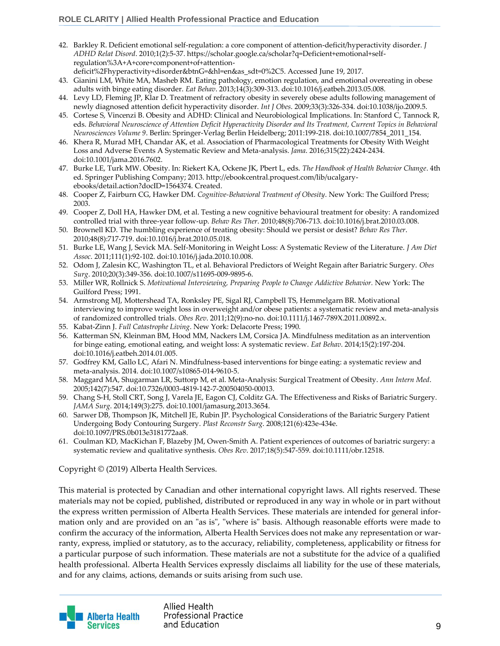- 42. Barkley R. Deficient emotional self-regulation: a core component of attention-deficit/hyperactivity disorder. *J ADHD Relat Disord*. 2010;1(2):5-37. https://scholar.google.ca/scholar?q=Deficient+emotional+selfregulation%3A+A+core+component+of+attention
	- deficit%2Fhyperactivity+disorder&btnG=&hl=en&as\_sdt=0%2C5. Accessed June 19, 2017.
- 43. Gianini LM, White MA, Masheb RM. Eating pathology, emotion regulation, and emotional overeating in obese adults with binge eating disorder. *Eat Behav*. 2013;14(3):309-313. doi:10.1016/j.eatbeh.2013.05.008.
- 44. Levy LD, Fleming JP, Klar D. Treatment of refractory obesity in severely obese adults following management of newly diagnosed attention deficit hyperactivity disorder. *Int J Obes*. 2009;33(3):326-334. doi:10.1038/ijo.2009.5.
- 45. Cortese S, Vincenzi B. Obesity and ADHD: Clinical and Neurobiological Implications. In: Stanford C, Tannock R, eds. Behavioral Neuroscience of Attention Deficit Hyperactivity Disorder and Its Treatment, Current Topics in Behavioral *Neurosciences Volume 9*. Berlin: Springer-Verlag Berlin Heidelberg; 2011:199-218. doi:10.1007/7854\_2011\_154.
- 46. Khera R, Murad MH, Chandar AK, et al. Association of Pharmacological Treatments for Obesity With Weight Loss and Adverse Events A Systematic Review and Meta-analysis. *Jama*. 2016;315(22):2424-2434. doi:10.1001/jama.2016.7602.
- 47. Burke LE, Turk MW. Obesity. In: Riekert KA, Ockene JK, Pbert L, eds. *The Handbook of Health Behavior Change*. 4th ed. Springer Publishing Company; 2013. http://ebookcentral.proquest.com/lib/ucalgaryebooks/detail.action?docID=1564374. Created.
- 48. Cooper Z, Fairburn CG, Hawker DM. *Cognitive-Behavioral Treatment of Obesity*. New York: The Guilford Press; 2003.
- 49. Cooper Z, Doll HA, Hawker DM, et al. Testing a new cognitive behavioural treatment for obesity: A randomized controlled trial with three-year follow-up. *Behav Res Ther*. 2010;48(8):706-713. doi:10.1016/j.brat.2010.03.008.
- 50. Brownell KD. The humbling experience of treating obesity: Should we persist or desist? *Behav Res Ther*. 2010;48(8):717-719. doi:10.1016/j.brat.2010.05.018.
- 51. Burke LE, Wang J, Sevick MA. Self-Monitoring in Weight Loss: A Systematic Review of the Literature. *J Am Diet Assoc*. 2011;111(1):92-102. doi:10.1016/j.jada.2010.10.008.
- 52. Odom J, Zalesin KC, Washington TL, et al. Behavioral Predictors of Weight Regain after Bariatric Surgery. *Obes Surg*. 2010;20(3):349-356. doi:10.1007/s11695-009-9895-6.
- 53. Miller WR, Rollnick S. *Motivational Interviewing, Preparing People to Change Addictive Behavior.* New York: The Guilford Press; 1991.
- 54. Armstrong MJ, Mottershead TA, Ronksley PE, Sigal RJ, Campbell TS, Hemmelgarn BR. Motivational interviewing to improve weight loss in overweight and/or obese patients: a systematic review and meta-analysis of randomized controlled trials. *Obes Rev*. 2011;12(9):no-no. doi:10.1111/j.1467-789X.2011.00892.x.
- 55. Kabat-Zinn J. *Full Catastrophe Living*. New York: Delacorte Press; 1990.
- 56. Katterman SN, Kleinman BM, Hood MM, Nackers LM, Corsica JA. Mindfulness meditation as an intervention for binge eating, emotional eating, and weight loss: A systematic review. *Eat Behav*. 2014;15(2):197-204. doi:10.1016/j.eatbeh.2014.01.005.
- 57. Godfrey KM, Gallo LC, Afari N. Mindfulness-based interventions for binge eating: a systematic review and meta-analysis. 2014. doi:10.1007/s10865-014-9610-5.
- 58. Maggard MA, Shugarman LR, Suttorp M, et al. Meta-Analysis: Surgical Treatment of Obesity. *Ann Intern Med*. 2005;142(7):547. doi:10.7326/0003-4819-142-7-200504050-00013.
- 59. Chang S-H, Stoll CRT, Song J, Varela JE, Eagon CJ, Colditz GA. The Effectiveness and Risks of Bariatric Surgery. *JAMA Surg*. 2014;149(3):275. doi:10.1001/jamasurg.2013.3654.
- 60. Sarwer DB, Thompson JK, Mitchell JE, Rubin JP. Psychological Considerations of the Bariatric Surgery Patient Undergoing Body Contouring Surgery. *Plast Reconstr Surg*. 2008;121(6):423e-434e. doi:10.1097/PRS.0b013e3181772aa8.
- 61. Coulman KD, MacKichan F, Blazeby JM, Owen-Smith A. Patient experiences of outcomes of bariatric surgery: a systematic review and qualitative synthesis. *Obes Rev*. 2017;18(5):547-559. doi:10.1111/obr.12518.

Copyright © (2019) Alberta Health Services.

This material is protected by Canadian and other international copyright laws. All rights reserved. These materials may not be copied, published, distributed or reproduced in any way in whole or in part without the express written permission of Alberta Health Services. These materials are intended for general information only and are provided on an "as is", "where is" basis. Although reasonable efforts were made to confirm the accuracy of the information, Alberta Health Services does not make any representation or warranty, express, implied or statutory, as to the accuracy, reliability, completeness, applicability or fitness for a particular purpose of such information. These materials are not a substitute for the advice of a qualified health professional. Alberta Health Services expressly disclaims all liability for the use of these materials, and for any claims, actions, demands or suits arising from such use.